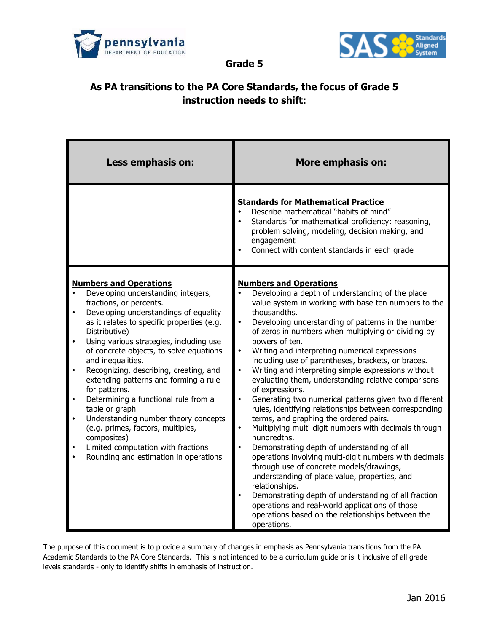



**Grade 5**

## **As PA transitions to the PA Core Standards, the focus of Grade 5 instruction needs to shift:**

| Less emphasis on:                                                                                                                                                                                                                                                                                                                                                                                                                                                                                                                                                                                                                                                                                                                        | <b>More emphasis on:</b>                                                                                                                                                                                                                                                                                                                                                                                                                                                                                                                                                                                                                                                                                                                                                                                                                                                                                                                                                                                                                                                                                                                                                                                                                       |
|------------------------------------------------------------------------------------------------------------------------------------------------------------------------------------------------------------------------------------------------------------------------------------------------------------------------------------------------------------------------------------------------------------------------------------------------------------------------------------------------------------------------------------------------------------------------------------------------------------------------------------------------------------------------------------------------------------------------------------------|------------------------------------------------------------------------------------------------------------------------------------------------------------------------------------------------------------------------------------------------------------------------------------------------------------------------------------------------------------------------------------------------------------------------------------------------------------------------------------------------------------------------------------------------------------------------------------------------------------------------------------------------------------------------------------------------------------------------------------------------------------------------------------------------------------------------------------------------------------------------------------------------------------------------------------------------------------------------------------------------------------------------------------------------------------------------------------------------------------------------------------------------------------------------------------------------------------------------------------------------|
|                                                                                                                                                                                                                                                                                                                                                                                                                                                                                                                                                                                                                                                                                                                                          | <b>Standards for Mathematical Practice</b><br>Describe mathematical "habits of mind"<br>Standards for mathematical proficiency: reasoning,<br>problem solving, modeling, decision making, and<br>engagement<br>Connect with content standards in each grade                                                                                                                                                                                                                                                                                                                                                                                                                                                                                                                                                                                                                                                                                                                                                                                                                                                                                                                                                                                    |
| <b>Numbers and Operations</b><br>Developing understanding integers,<br>fractions, or percents.<br>Developing understandings of equality<br>$\bullet$<br>as it relates to specific properties (e.g.<br>Distributive)<br>Using various strategies, including use<br>$\bullet$<br>of concrete objects, to solve equations<br>and inequalities.<br>Recognizing, describing, creating, and<br>$\bullet$<br>extending patterns and forming a rule<br>for patterns.<br>Determining a functional rule from a<br>$\bullet$<br>table or graph<br>Understanding number theory concepts<br>$\bullet$<br>(e.g. primes, factors, multiples,<br>composites)<br>Limited computation with fractions<br>Rounding and estimation in operations<br>$\bullet$ | <b>Numbers and Operations</b><br>Developing a depth of understanding of the place<br>value system in working with base ten numbers to the<br>thousandths.<br>Developing understanding of patterns in the number<br>$\bullet$<br>of zeros in numbers when multiplying or dividing by<br>powers of ten.<br>$\bullet$<br>Writing and interpreting numerical expressions<br>including use of parentheses, brackets, or braces.<br>Writing and interpreting simple expressions without<br>$\bullet$<br>evaluating them, understanding relative comparisons<br>of expressions.<br>$\bullet$<br>Generating two numerical patterns given two different<br>rules, identifying relationships between corresponding<br>terms, and graphing the ordered pairs.<br>Multiplying multi-digit numbers with decimals through<br>$\bullet$<br>hundredths.<br>Demonstrating depth of understanding of all<br>operations involving multi-digit numbers with decimals<br>through use of concrete models/drawings,<br>understanding of place value, properties, and<br>relationships.<br>Demonstrating depth of understanding of all fraction<br>operations and real-world applications of those<br>operations based on the relationships between the<br>operations. |

The purpose of this document is to provide a summary of changes in emphasis as Pennsylvania transitions from the PA Academic Standards to the PA Core Standards. This is not intended to be a curriculum guide or is it inclusive of all grade levels standards - only to identify shifts in emphasis of instruction.